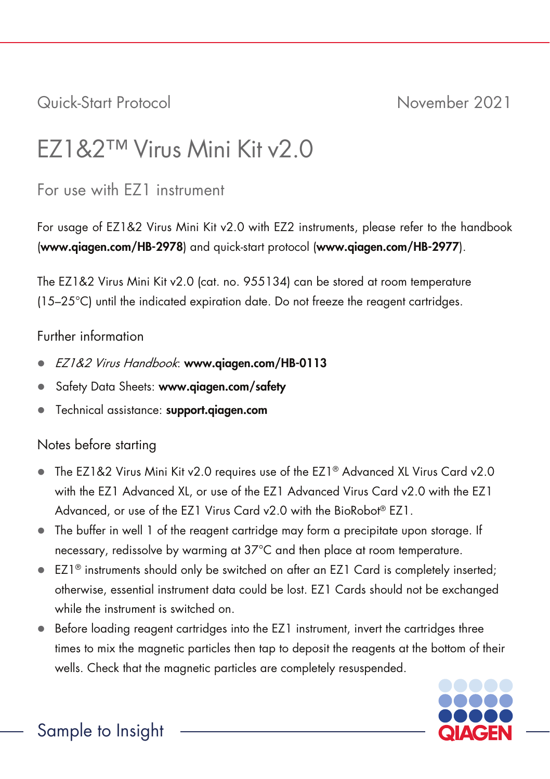## Quick-Start Protocol November 2021

# EZ1&2™ Virus Mini Kit v2.0

## For use with EZ1 instrument

For usage of EZ1&2 Virus Mini Kit v2.0 with EZ2 instruments, please refer to the handbook (www.qiagen.com/HB-2978) and quick-start protocol (www.qiagen.com/HB-2977).

The EZ1&2 Virus Mini Kit v2.0 (cat. no. 955134) can be stored at room temperature (15–25°C) until the indicated expiration date. Do not freeze the reagent cartridges.

#### Further information

- EZ1&2 Virus Handbook: www.qiagen.com/HB-0113
- Safety Data Sheets: www.qiagen.com/safety
- Technical assistance: support.aiagen.com

### Notes before starting

- $\bullet$  The EZ1&2 Virus Mini Kit v2.0 requires use of the EZ1® Advanced XL Virus Card v2.0 with the EZ1 Advanced XL, or use of the EZ1 Advanced Virus Card v2.0 with the EZ1 Advanced, or use of the EZ1 Virus Card v2.0 with the BioRobot® EZ1.
- The buffer in well 1 of the reagent cartridge may form a precipitate upon storage. If necessary, redissolve by warming at 37°C and then place at room temperature.
- EZ1<sup>®</sup> instruments should only be switched on after an EZ1 Card is completely inserted; otherwise, essential instrument data could be lost. EZ1 Cards should not be exchanged while the instrument is switched on.
- Before loading reagent cartridges into the EZ1 instrument, invert the cartridges three times to mix the magnetic particles then tap to deposit the reagents at the bottom of their wells. Check that the magnetic particles are completely resuspended.